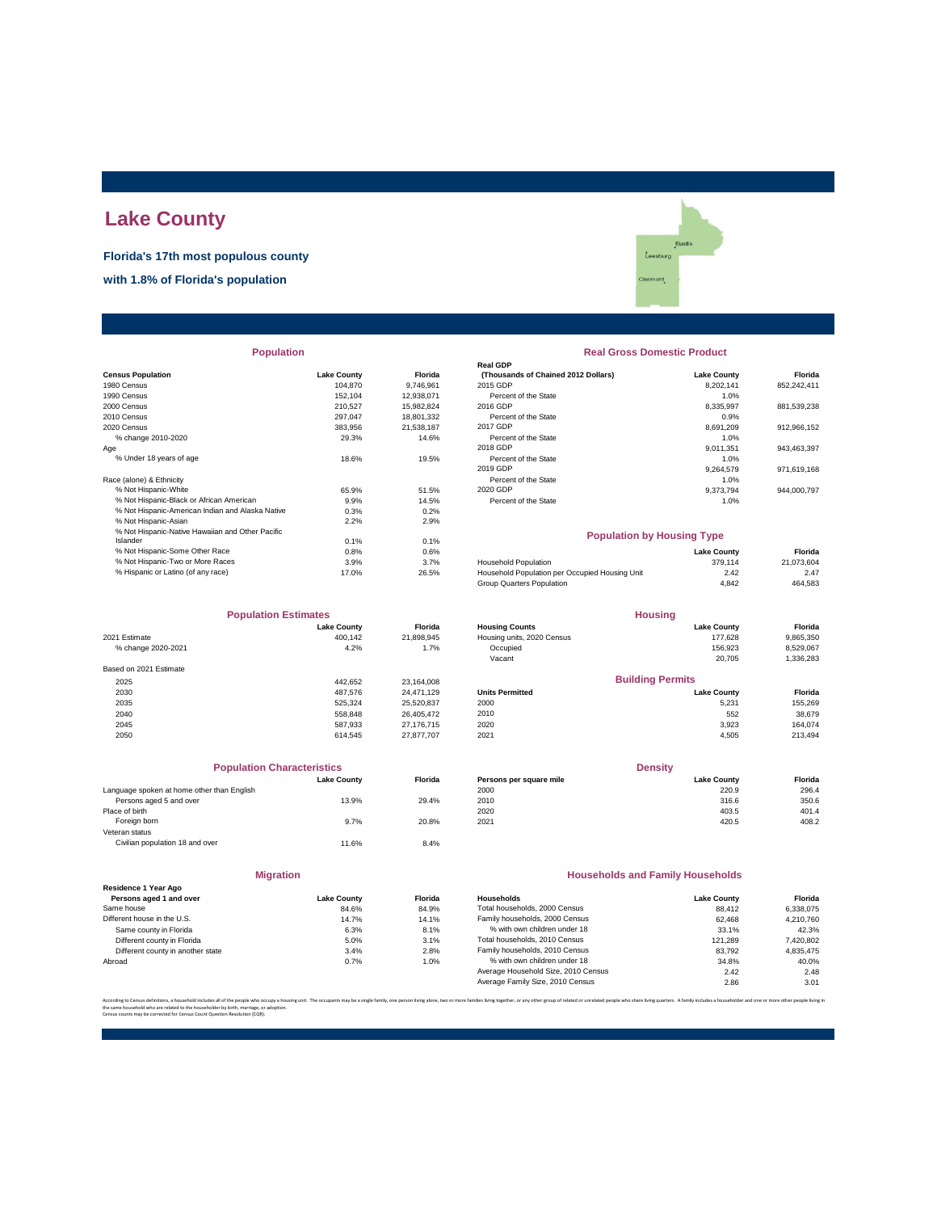# **Lake County**

**Florida's 17th most populous county**

**with 1.8% of Florida's population**

Eustis .<br>Leesburg mont

| <b>Population</b> |
|-------------------|
|-------------------|

|                                                  |                    |            | ושט וואטו                                      |                    |             |
|--------------------------------------------------|--------------------|------------|------------------------------------------------|--------------------|-------------|
| <b>Census Population</b>                         | <b>Lake County</b> | Florida    | (Thousands of Chained 2012 Dollars)            | <b>Lake County</b> | Florida     |
| 1980 Census                                      | 104.870            | 9.746.961  | 2015 GDP                                       | 8.202.141          | 852,242,411 |
| 1990 Census                                      | 152.104            | 12,938,071 | Percent of the State                           | 1.0%               |             |
| 2000 Census                                      | 210.527            | 15,982,824 | 2016 GDP                                       | 8,335,997          | 881,539,238 |
| 2010 Census                                      | 297.047            | 18,801,332 | Percent of the State                           | 0.9%               |             |
| 2020 Census                                      | 383,956            | 21,538,187 | 2017 GDP                                       | 8,691,209          | 912,966,152 |
| % change 2010-2020                               | 29.3%              | 14.6%      | Percent of the State                           | 1.0%               |             |
| Age                                              |                    |            | 2018 GDP                                       | 9.011.351          | 943,463,397 |
| % Under 18 years of age                          | 18.6%              | 19.5%      | Percent of the State                           | 1.0%               |             |
|                                                  |                    |            | 2019 GDP                                       | 9,264,579          | 971,619,168 |
| Race (alone) & Ethnicity                         |                    |            | Percent of the State                           | 1.0%               |             |
| % Not Hispanic-White                             | 65.9%              | 51.5%      | 2020 GDP                                       | 9,373,794          | 944,000,797 |
| % Not Hispanic-Black or African American         | 9.9%               | 14.5%      | Percent of the State                           | 1.0%               |             |
| % Not Hispanic-American Indian and Alaska Native | 0.3%               | 0.2%       |                                                |                    |             |
| % Not Hispanic-Asian                             | 2.2%               | 2.9%       |                                                |                    |             |
| % Not Hispanic-Native Hawaiian and Other Pacific |                    |            | <b>Population by Housing Type</b>              |                    |             |
| Islander                                         | 0.1%               | 0.1%       |                                                |                    |             |
| % Not Hispanic-Some Other Race                   | 0.8%               | 0.6%       |                                                | <b>Lake County</b> | Florida     |
| % Not Hispanic-Two or More Races                 | 3.9%               | 3.7%       | <b>Household Population</b>                    | 379.114            | 21,073,604  |
| % Hispanic or Latino (of any race)               | 17.0%              | 26.5%      | Household Population per Occupied Housing Unit | 2.42               | 2.47        |
|                                                  |                    |            |                                                |                    |             |

| <b>Population Estimates</b> |                    | <b>Housing</b> |                            |                    |           |
|-----------------------------|--------------------|----------------|----------------------------|--------------------|-----------|
|                             | <b>Lake County</b> | Florida        | <b>Housing Counts</b>      | <b>Lake County</b> | Florida   |
| 2021 Estimate               | 400.142            | 21,898,945     | Housing units, 2020 Census | 177.628            | 9,865,350 |
| % change 2020-2021          | 4.2%               | 1.7%           | Occupied                   | 156.923            | 8,529,067 |
|                             |                    |                | Vacant                     | 20.705             | 1,336,283 |
| Based on 2021 Estimate      |                    |                |                            |                    |           |
| 2025                        | 442.652            | 23.164.008     | <b>Building Permits</b>    |                    |           |
| 2030                        | 487.576            | 24.471.129     | <b>Units Permitted</b>     | <b>Lake County</b> | Florida   |
| 2035                        | 525.324            | 25,520,837     | 2000                       | 5,231              | 155,269   |
| 2040                        | 558.848            | 26.405.472     | 2010                       | 552                | 38,679    |
| 2045                        | 587.933            | 27.176.715     | 2020                       | 3,923              | 164.074   |
| 2050                        | 614.545            | 27.877.707     | 2021                       | 4,505              | 213,494   |

| <b>Population Characteristics</b>          |                    |                |
|--------------------------------------------|--------------------|----------------|
|                                            | <b>Lake County</b> | <b>Florida</b> |
| Language spoken at home other than English |                    |                |
| Persons aged 5 and over                    | 13.9%              | 29.4%          |
| Place of birth                             |                    |                |
| Foreign born                               | 9.7%               | 20.8%          |
| Veteran status                             |                    |                |
| Civilian population 18 and over            | 11.6%              | 8.4%           |
|                                            |                    |                |

|                                                 | <b>Migration</b>   |                  |
|-------------------------------------------------|--------------------|------------------|
| Residence 1 Year Ago<br>Persons aged 1 and over | <b>Lake County</b> | <b>Florid</b>    |
| Same house                                      | 84.6%              | 84.99            |
| Different house in the U.S.                     | 14.7%              | 14.19            |
| Same county in Florida                          | 6.3%               | 8.1 <sup>°</sup> |
| Different county in Florida                     | 5.0%               | 3.1 <sup>6</sup> |
| Different county in another state               | 3.4%               | 2.8 <sup>°</sup> |
| Abroad                                          | 0.7%               | 1.0 <sup>6</sup> |

### **Real Gross Domestic Product**

|                    |            | <b>Real GDP</b>                     |                    |             |  |  |
|--------------------|------------|-------------------------------------|--------------------|-------------|--|--|
| <b>Lake County</b> | Florida    | (Thousands of Chained 2012 Dollars) | <b>Lake County</b> | Florida     |  |  |
| 104.870            | 9.746.961  | 2015 GDP                            | 8.202.141          | 852,242,411 |  |  |
| 152.104            | 12.938.071 | Percent of the State                | 1.0%               |             |  |  |
| 210.527            | 15.982.824 | 2016 GDP                            | 8.335.997          | 881,539,238 |  |  |
| 297.047            | 18,801,332 | Percent of the State                | 0.9%               |             |  |  |
| 383.956            | 21.538.187 | 2017 GDP                            | 8.691.209          | 912.966.152 |  |  |
| 29.3%              | 14.6%      | Percent of the State                | 1.0%               |             |  |  |
|                    |            | 2018 GDP                            | 9.011.351          | 943.463.397 |  |  |
| 18.6%              | 19.5%      | Percent of the State                | 1.0%               |             |  |  |
|                    |            | 2019 GDP                            | 9.264.579          | 971.619.168 |  |  |
|                    |            | Percent of the State                | 1.0%               |             |  |  |
| 65.9%              | 51.5%      | 2020 GDP                            | 9.373.794          | 944.000.797 |  |  |
| 9.9%               | 14.5%      | Percent of the State                | 1.0%               |             |  |  |
| 0.3%               | 0.2%       |                                     |                    |             |  |  |
|                    |            |                                     |                    |             |  |  |

#### **Population by Housing Type**

| % Not Hispanic-Some Other Race     | 0.8%  | 0.6%  |                                                | <b>Lake County</b> | Florida    |
|------------------------------------|-------|-------|------------------------------------------------|--------------------|------------|
| % Not Hispanic-Two or More Races   | 3.9%  | 3.7%  | <b>Household Population</b>                    | 379.114            | 21.073.604 |
| % Hispanic or Latino (of any race) | 17.0% | 26.5% | Household Population per Occupied Housing Unit | 2.42               | 2.47       |
|                                    |       |       | Group Quarters Population                      | 4.842              | 464,583    |
|                                    |       |       |                                                |                    |            |

| <b>Population Estimates</b> |                    |                | <b>Housing</b>             |                         |           |
|-----------------------------|--------------------|----------------|----------------------------|-------------------------|-----------|
|                             | <b>Lake County</b> | <b>Florida</b> | <b>Housing Counts</b>      | <b>Lake County</b>      | Florida   |
| 2021 Estimate               | 400.142            | 21.898.945     | Housing units, 2020 Census | 177.628                 | 9,865,350 |
| % change 2020-2021          | 4.2%               | 1.7%           | Occupied                   | 156.923                 | 8.529.067 |
|                             |                    |                | Vacant                     | 20.705                  | 1,336,283 |
| Based on 2021 Estimate      |                    |                |                            |                         |           |
| 2025                        | 442.652            | 23.164.008     |                            | <b>Building Permits</b> |           |
| 2030                        | 487.576            | 24.471.129     | <b>Units Permitted</b>     | <b>Lake County</b>      | Florida   |
| 2035                        | 525,324            | 25,520,837     | 2000                       | 5,231                   | 155,269   |
| 2040                        | 558.848            | 26.405.472     | 2010                       | 552                     | 38,679    |
| <b>2045</b>                 | E27 022            | 27 176 715     | 2020                       | 3.022                   | 161071    |

| <b>Population Characteristics</b>          |                    |                | <b>Density</b>          |                    |         |
|--------------------------------------------|--------------------|----------------|-------------------------|--------------------|---------|
|                                            | <b>Lake County</b> | <b>Florida</b> | Persons per square mile | <b>Lake County</b> | Florida |
| Language spoken at home other than English |                    |                | 2000                    | 220.9              | 296.4   |
| Persons aged 5 and over                    | 13.9%              | 29.4%          | 2010                    | 316.6              | 350.6   |
| Place of birth                             |                    |                | 2020                    | 403.5              | 401.4   |
| Foreign born                               | 9.7%               | 20.8%          | 2021                    | 420.5              | 408.2   |
|                                            |                    |                |                         |                    |         |

#### **Households and Family Households**

| Residence ⊺ rear Ado              |                    |                |                                     |                    |           |
|-----------------------------------|--------------------|----------------|-------------------------------------|--------------------|-----------|
| Persons aged 1 and over           | <b>Lake County</b> | <b>Florida</b> | <b>Households</b>                   | <b>Lake County</b> | Florida   |
| Same house                        | 84.6%              | 84.9%          | Total households, 2000 Census       | 88.412             | 6.338.075 |
| Different house in the U.S.       | 14.7%              | 14.1%          | Family households, 2000 Census      | 62.468             | 4.210.760 |
| Same county in Florida            | 6.3%               | 8.1%           | % with own children under 18        | 33.1%              | 42.3%     |
| Different county in Florida       | 5.0%               | 3.1%           | Total households, 2010 Census       | 121.289            | 7,420,802 |
| Different county in another state | 3.4%               | 2.8%           | Family households, 2010 Census      | 83.792             | 4.835.475 |
| Abroad                            | 0.7%               | 1.0%           | % with own children under 18        | 34.8%              | 40.0%     |
|                                   |                    |                | Average Household Size, 2010 Census | 2.42               | 2.48      |
|                                   |                    |                | Average Family Size, 2010 Census    | 2.86               | 3.01      |
|                                   |                    |                |                                     |                    |           |

.<br>ilies living together, or any other group of related or unrelated people who share living quarters. A family includes a householder and one or more other p the same household who are related to the householder by birth, marriage, or adoption. Census counts may be corrected for Census Count Question Resolution (CQR).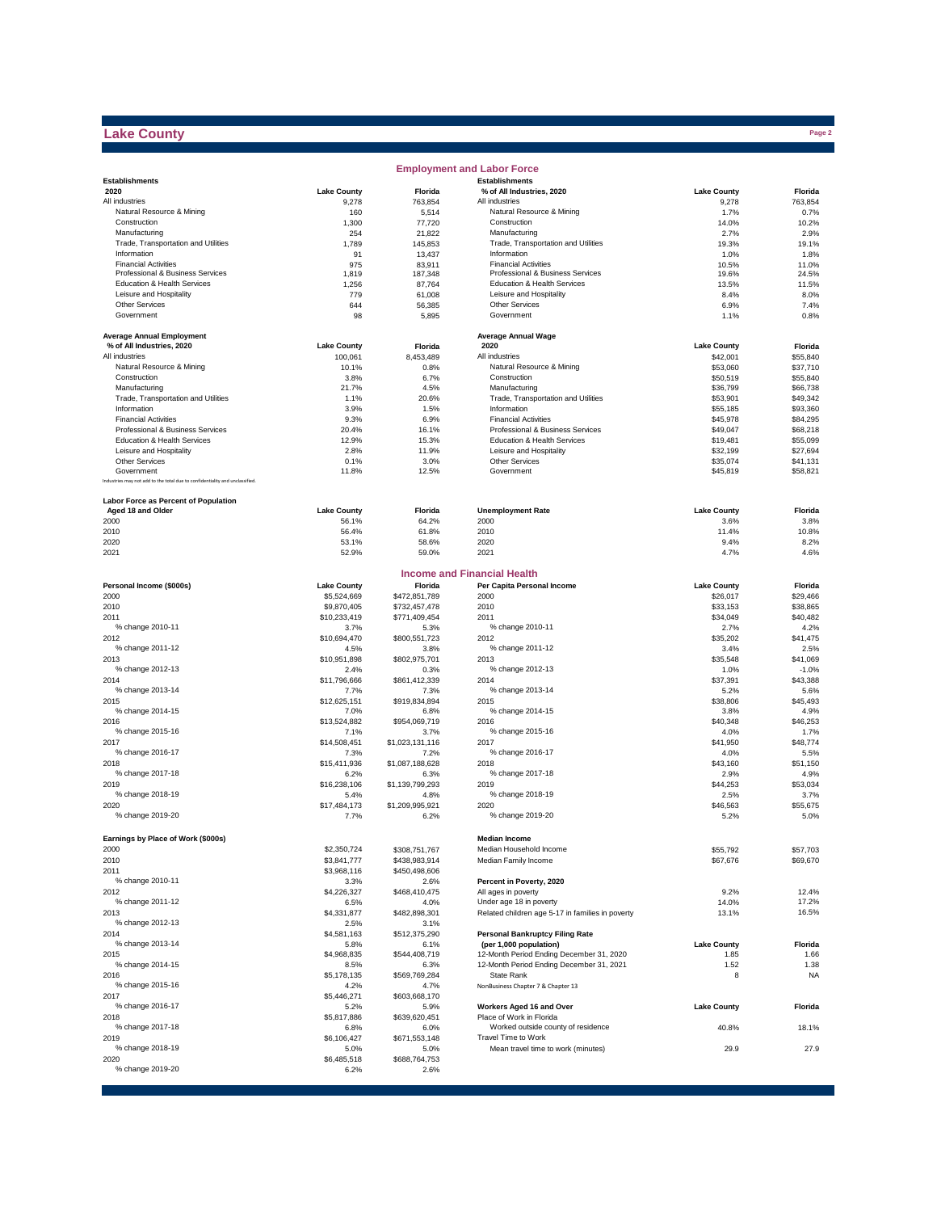# **Lake County**

|                                                                              |                      |                                | <b>Employment and Labor Force</b>                      |                      |                      |
|------------------------------------------------------------------------------|----------------------|--------------------------------|--------------------------------------------------------|----------------------|----------------------|
| <b>Establishments</b>                                                        |                      |                                | <b>Establishments</b>                                  |                      |                      |
| 2020                                                                         | <b>Lake County</b>   | Florida                        | % of All Industries, 2020                              | <b>Lake County</b>   | Florida              |
| All industries<br>Natural Resource & Mining                                  | 9,278<br>160         | 763,854<br>5,514               | All industries<br>Natural Resource & Mining            | 9,278<br>1.7%        | 763,854<br>0.7%      |
| Construction                                                                 | 1,300                | 77,720                         | Construction                                           | 14.0%                | 10.2%                |
| Manufacturing                                                                | 254                  | 21,822                         | Manufacturing                                          | 2.7%                 | 2.9%                 |
| Trade, Transportation and Utilities                                          | 1,789                | 145,853                        | Trade, Transportation and Utilities                    | 19.3%                | 19.1%                |
| Information                                                                  | 91                   | 13,437                         | Information                                            | 1.0%                 | 1.8%                 |
| <b>Financial Activities</b>                                                  | 975                  | 83,911                         | <b>Financial Activities</b>                            | 10.5%                | 11.0%                |
| Professional & Business Services                                             | 1,819                | 187,348                        | Professional & Business Services                       | 19.6%                | 24.5%                |
| Education & Health Services<br>Leisure and Hospitality                       | 1,256                | 87,764                         | Education & Health Services<br>Leisure and Hospitality | 13.5%                | 11.5%                |
| Other Services                                                               | 779<br>644           | 61,008<br>56,385               | <b>Other Services</b>                                  | 8.4%<br>6.9%         | 8.0%<br>7.4%         |
| Government                                                                   | 98                   | 5,895                          | Government                                             | 1.1%                 | 0.8%                 |
|                                                                              |                      |                                |                                                        |                      |                      |
| <b>Average Annual Employment</b>                                             |                      |                                | <b>Average Annual Wage</b>                             |                      |                      |
| % of All Industries, 2020                                                    | <b>Lake County</b>   | Florida                        | 2020                                                   | <b>Lake County</b>   | Florida              |
| All industries                                                               | 100,061              | 8,453,489                      | All industries                                         | \$42,001             | \$55,840             |
| Natural Resource & Mining                                                    | 10.1%                | 0.8%                           | Natural Resource & Mining                              | \$53,060             | \$37,710             |
| Construction                                                                 | 3.8%                 | 6.7%                           | Construction                                           | \$50,519             | \$55,840             |
| Manufacturing                                                                | 21.7%                | 4.5%                           | Manufacturing                                          | \$36,799             | \$66,738             |
| Trade, Transportation and Utilities<br>Information                           | 1.1%<br>3.9%         | 20.6%<br>1.5%                  | Trade, Transportation and Utilities<br>Information     | \$53,901             | \$49,342             |
| <b>Financial Activities</b>                                                  | 9.3%                 | 6.9%                           | <b>Financial Activities</b>                            | \$55,185<br>\$45,978 | \$93,360<br>\$84,295 |
| Professional & Business Services                                             | 20.4%                | 16.1%                          | Professional & Business Services                       | \$49,047             | \$68,218             |
| Education & Health Services                                                  | 12.9%                | 15.3%                          | Education & Health Services                            | \$19,481             | \$55,099             |
| Leisure and Hospitality                                                      | 2.8%                 | 11.9%                          | Leisure and Hospitality                                | \$32,199             | \$27,694             |
| <b>Other Services</b>                                                        | 0.1%                 | 3.0%                           | Other Services                                         | \$35,074             | \$41,131             |
| Government                                                                   | 11.8%                | 12.5%                          | Government                                             | \$45,819             | \$58,821             |
| Industries may not add to the total due to confidentiality and unclassified. |                      |                                |                                                        |                      |                      |
| <b>Labor Force as Percent of Population</b>                                  |                      |                                |                                                        |                      |                      |
| Aged 18 and Older                                                            | <b>Lake County</b>   | Florida                        | <b>Unemployment Rate</b>                               | <b>Lake County</b>   | Florida              |
| 2000                                                                         | 56.1%                | 64.2%                          | 2000                                                   | 3.6%                 | 3.8%                 |
| 2010<br>2020                                                                 | 56.4%<br>53.1%       | 61.8%<br>58.6%                 | 2010<br>2020                                           | 11.4%                | 10.8%<br>8.2%        |
| 2021                                                                         | 52.9%                | 59.0%                          | 2021                                                   | 9.4%<br>4.7%         | 4.6%                 |
|                                                                              |                      |                                |                                                        |                      |                      |
|                                                                              |                      |                                | <b>Income and Financial Health</b>                     |                      |                      |
| Personal Income (\$000s)                                                     | <b>Lake County</b>   | Florida                        | Per Capita Personal Income                             | <b>Lake County</b>   | Florida              |
| 2000<br>2010                                                                 | \$5,524,669          | \$472,851,789                  | 2000<br>2010                                           | \$26,017             | \$29,466             |
| 2011                                                                         | \$9,870,405          | \$732,457,478<br>\$771,409,454 | 2011                                                   | \$33,153<br>\$34,049 | \$38,865<br>\$40,482 |
| % change 2010-11                                                             | \$10,233,419<br>3.7% | 5.3%                           | % change 2010-11                                       | 2.7%                 | 4.2%                 |
| 2012                                                                         | \$10,694,470         | \$800,551,723                  | 2012                                                   | \$35,202             | \$41,475             |
| % change 2011-12                                                             | 4.5%                 | 3.8%                           | % change 2011-12                                       | 3.4%                 | 2.5%                 |
| 2013                                                                         | \$10,951,898         | \$802,975,701                  | 2013                                                   | \$35,548             | \$41,069             |
| % change 2012-13                                                             | 2.4%                 | 0.3%                           | % change 2012-13                                       | 1.0%                 | $-1.0%$              |
| 2014                                                                         | \$11,796,666         | \$861,412,339                  | 2014                                                   | \$37,391             | \$43,388             |
| % change 2013-14                                                             | 7.7%                 | 7.3%                           | % change 2013-14                                       | 5.2%                 | 5.6%                 |
| 2015                                                                         | \$12,625,151         | \$919,834,894                  | 2015                                                   | \$38,806             | \$45,493             |
| % change 2014-15                                                             | 7.0%                 | 6.8%                           | % change 2014-15                                       | 3.8%                 | 4.9%                 |
| 2016                                                                         | \$13,524,882         | \$954,069,719                  | 2016                                                   | \$40,348             | \$46,253             |
| % change 2015-16                                                             | 7.1%                 | 3.7%                           | % change 2015-16                                       | 4.0%                 | 1.7%                 |
| 2017<br>% change 2016-17                                                     | \$14,508,451         | \$1,023,131,116                | 2017<br>% change 2016-17                               | \$41,950             | \$48,774             |
| 2018                                                                         | 7.3%                 | 7.2%                           | 2018                                                   | 4.0%<br>\$43,160     | 5.5%<br>\$51,150     |
| % change 2017-18                                                             | \$15,411,936<br>6.2% | \$1,087,188,628<br>6.3%        | % change 2017-18                                       | 2.9%                 | 4.9%                 |
| 2019                                                                         | \$16,238,106         | \$1,139,799,293                | 2019                                                   | \$44,253             | \$53,034             |
| % change 2018-19                                                             | 5.4%                 | 4.8%                           | % change 2018-19                                       | 2.5%                 | 3.7%                 |
| 2020                                                                         | \$17,484,173         | \$1,209,995,921                | 2020                                                   | \$46,563             | \$55,675             |
| % change 2019-20                                                             | 7.7%                 | 6.2%                           | % change 2019-20                                       | 5.2%                 | 5.0%                 |
| Earnings by Place of Work (\$000s)                                           |                      |                                | <b>Median Income</b>                                   |                      |                      |
| 2000                                                                         | \$2,350,724          | \$308,751,767                  | Median Household Income                                | \$55,792             | \$57,703             |
| 2010                                                                         | \$3,841,777          | \$438,983,914                  | Median Family Income                                   | \$67,676             | \$69,670             |
| 2011                                                                         | \$3,968,116          | \$450,498,606                  |                                                        |                      |                      |
| % change 2010-11                                                             | 3.3%                 | 2.6%                           | Percent in Poverty, 2020                               |                      |                      |
| 2012                                                                         | \$4,226,327          | \$468,410,475                  | All ages in poverty                                    | 9.2%                 | 12.4%                |
| % change 2011-12                                                             | 6.5%                 | 4.0%                           | Under age 18 in poverty                                | 14.0%                | 17.2%                |
| 2013                                                                         | \$4,331,877          | \$482,898,301                  | Related children age 5-17 in families in poverty       | 13.1%                | 16.5%                |
| % change 2012-13                                                             | 2.5%                 | 3.1%                           |                                                        |                      |                      |
| 2014                                                                         | \$4,581,163          | \$512,375,290                  | <b>Personal Bankruptcy Filing Rate</b>                 |                      |                      |
| % change 2013-14                                                             | 5.8%                 | 6.1%                           | (per 1,000 population)                                 | <b>Lake County</b>   | Florida              |
| 2015                                                                         | \$4,968,835          | \$544,408,719                  | 12-Month Period Ending December 31, 2020               | 1.85                 | 1.66                 |
| % change 2014-15                                                             | 8.5%                 | 6.3%                           | 12-Month Period Ending December 31, 2021               | 1.52                 | 1.38                 |
| 2016<br>% change 2015-16                                                     | \$5,178,135          | \$569,769,284                  | State Rank<br>NonBusiness Chapter 7 & Chapter 13       | 8                    | <b>NA</b>            |
| 2017                                                                         | 4.2%<br>\$5,446,271  | 4.7%<br>\$603,668,170          |                                                        |                      |                      |
| % change 2016-17                                                             | 5.2%                 | 5.9%                           | Workers Aged 16 and Over                               | <b>Lake County</b>   | Florida              |
| 2018                                                                         | \$5,817,886          | \$639,620,451                  | Place of Work in Florida                               |                      |                      |
| % change 2017-18                                                             | 6.8%                 | 6.0%                           | Worked outside county of residence                     | 40.8%                | 18.1%                |
| 2019                                                                         | \$6,106,427          | \$671,553,148                  | Travel Time to Work                                    |                      |                      |
| % change 2018-19                                                             | 5.0%                 | 5.0%                           | Mean travel time to work (minutes)                     | 29.9                 | 27.9                 |
| 2020                                                                         | \$6,485,518          | \$688,764,753                  |                                                        |                      |                      |
| % change 2019-20                                                             | 6.2%                 | 2.6%                           |                                                        |                      |                      |